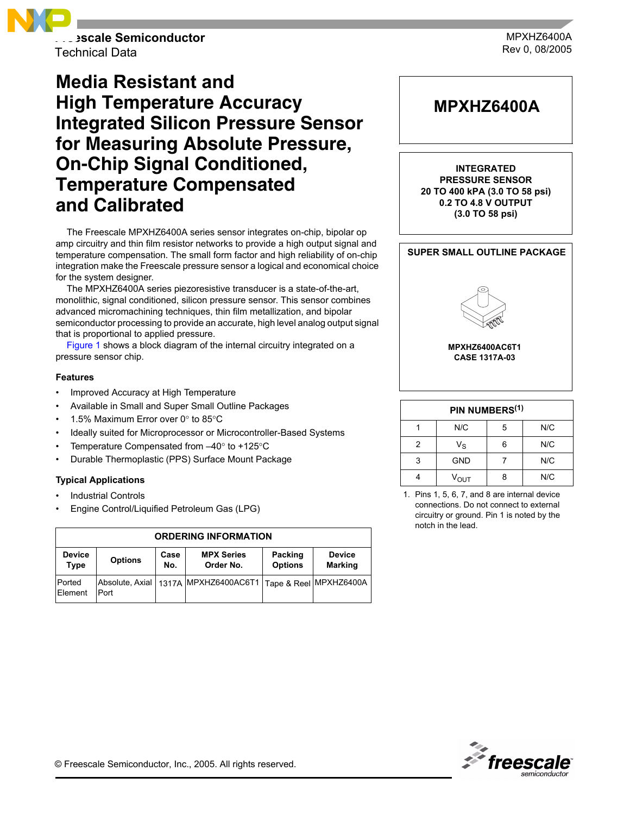

Technical Data

# **Media Resistant and High Temperature Accuracy Integrated Silicon Pressure Sensor for Measuring Absolute Pressure, On-Chip Signal Conditioned, Temperature Compensated and Calibrated**

The Freescale MPXHZ6400A series sensor integrates on-chip, bipolar op amp circuitry and thin film resistor networks to provide a high output signal and temperature compensation. The small form factor and high reliability of on-chip integration make the Freescale pressure sensor a logical and economical choice for the system designer.

The MPXHZ6400A series piezoresistive transducer is a state-of-the-art, monolithic, signal conditioned, silicon pressure sensor. This sensor combines advanced micromachining techniques, thin film metallization, and bipolar semiconductor processing to provide an accurate, high level analog output signal that is proportional to applied pressure.

Figure 1 shows a block diagram of the internal circuitry integrated on a pressure sensor chip.

#### **Features**

- Improved Accuracy at High Temperature
- Available in Small and Super Small Outline Packages
- 1.5% Maximum Error over  $0^\circ$  to 85 $^\circ$ C
- Ideally suited for Microprocessor or Microcontroller-Based Systems
- Temperature Compensated from  $-40^\circ$  to +125 $^\circ$ C
- Durable Thermoplastic (PPS) Surface Mount Package

#### **Typical Applications**

- **Industrial Controls**
- Engine Control/Liquified Petroleum Gas (LPG)

| <b>ORDERING INFORMATION</b> |                |             |                                                                     |                           |                                 |  |
|-----------------------------|----------------|-------------|---------------------------------------------------------------------|---------------------------|---------------------------------|--|
| <b>Device</b><br>Type       | <b>Options</b> | Case<br>No. | <b>MPX Series</b><br>Order No.                                      | Packing<br><b>Options</b> | <b>Device</b><br><b>Marking</b> |  |
| <b>Ported</b><br>Element    | Port           |             | Absolute, Axial   1317A   MPXHZ6400AC6T1   Tape & Reel   MPXHZ6400A |                           |                                 |  |



| PIN NUMBERS <sup>(1)</sup> |                  |   |     |  |
|----------------------------|------------------|---|-----|--|
|                            | N/C              | 5 | N/C |  |
| 2                          | $V_{\rm S}$      | հ | N/C |  |
| 3                          | <b>GND</b>       |   | N/C |  |
|                            | $V_{\text{OUT}}$ |   | N/C |  |

1. Pins 1, 5, 6, 7, and 8 are internal device connections. Do not connect to external circuitry or ground. Pin 1 is noted by the notch in the lead.



© Freescale Semiconductor, Inc., 2005. All rights reserved.

MPXHZ6400A Rev 0, 08/2005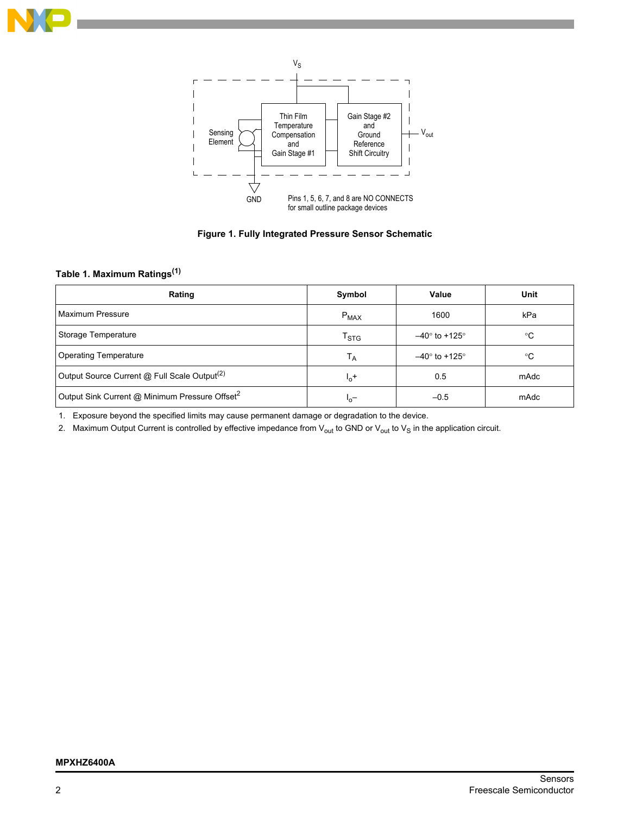



**Figure 1. Fully Integrated Pressure Sensor Schematic**

# **Table 1. Maximum Ratings(1)**

| Rating                                                     | Symbol                    | Value                | Unit        |
|------------------------------------------------------------|---------------------------|----------------------|-------------|
| Maximum Pressure                                           | $P_{MAX}$                 | 1600                 | kPa         |
| Storage Temperature                                        | $\mathsf{T}_{\text{STG}}$ | $-40^\circ$ to +125° | $^{\circ}C$ |
| <b>Operating Temperature</b>                               | $T_A$                     | $-40^\circ$ to +125° | ℃           |
| Output Source Current @ Full Scale Output <sup>(2)</sup>   | $I_0$ +                   | 0.5                  | mAdc        |
| Output Sink Current @ Minimum Pressure Offset <sup>2</sup> | $L_0$                     | $-0.5$               | mAdc        |

1. Exposure beyond the specified limits may cause permanent damage or degradation to the device.

2. Maximum Output Current is controlled by effective impedance from  $V_{out}$  to GND or  $V_{out}$  to  $V_S$  in the application circuit.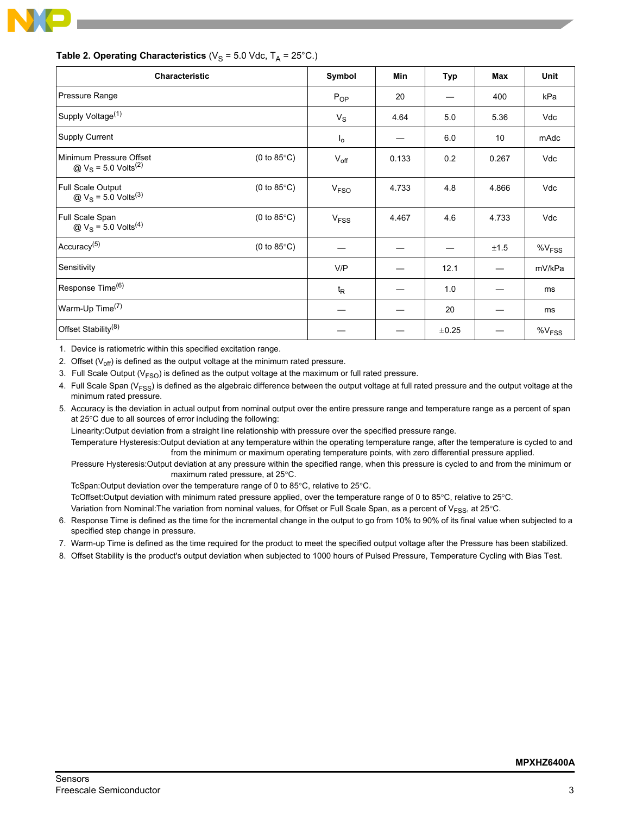

| <b>Characteristic</b>                                                            |                       | Symbol                 | Min   | Typ        | <b>Max</b> | <b>Unit</b>       |
|----------------------------------------------------------------------------------|-----------------------|------------------------|-------|------------|------------|-------------------|
| Pressure Range                                                                   |                       | $P_{OP}$               | 20    |            | 400        | kPa               |
| Supply Voltage <sup>(1)</sup>                                                    |                       | $V_S$                  | 4.64  | 5.0        | 5.36       | Vdc               |
| Supply Current                                                                   |                       | $I_{\rm o}$            |       | 6.0        | 10         | mAdc              |
| Minimum Pressure Offset<br>@ $V_S$ = 5.0 Volts <sup>(2)</sup>                    | (0 to $85^{\circ}$ C) | $V_{\text{off}}$       | 0.133 | 0.2        | 0.267      | Vdc               |
| Full Scale Output<br>$\textcircled{a}$ V <sub>S</sub> = 5.0 Volts <sup>(3)</sup> | (0 to $85^{\circ}$ C) | V <sub>FSO</sub>       | 4.733 | 4.8        | 4.866      | Vdc               |
| Full Scale Span<br>$\textcircled{a}$ V <sub>S</sub> = 5.0 Volts <sup>(4)</sup>   | (0 to $85^{\circ}$ C) | <b>V<sub>FSS</sub></b> | 4.467 | 4.6        | 4.733      | Vdc               |
| Accuracy <sup>(5)</sup>                                                          | (0 to 85 $\degree$ C) |                        |       |            | ±1.5       | $\%V_{FSS}$       |
| Sensitivity                                                                      |                       | V/P                    |       | 12.1       |            | mV/kPa            |
| Response Time <sup>(6)</sup>                                                     |                       | $t_{\mathsf{R}}$       |       | 1.0        |            | ms                |
| Warm-Up Time <sup>(7)</sup>                                                      |                       |                        |       | 20         |            | ms                |
| Offset Stability <sup>(8)</sup>                                                  |                       |                        |       | $\pm 0.25$ |            | %V <sub>FSS</sub> |

#### **Table 2. Operating Characteristics** ( $V_S$  = 5.0 Vdc,  $T_A$  = 25°C.)

1. Device is ratiometric within this specified excitation range.

2. Offset  $(V_{off})$  is defined as the output voltage at the minimum rated pressure.

3. Full Scale Output ( $V<sub>FSO</sub>$ ) is defined as the output voltage at the maximum or full rated pressure.

4. Full Scale Span ( $V_{FSS}$ ) is defined as the algebraic difference between the output voltage at full rated pressure and the output voltage at the minimum rated pressure.

5. Accuracy is the deviation in actual output from nominal output over the entire pressure range and temperature range as a percent of span at 25°C due to all sources of error including the following:

Linearity:Output deviation from a straight line relationship with pressure over the specified pressure range.

Temperature Hysteresis:Output deviation at any temperature within the operating temperature range, after the temperature is cycled to and from the minimum or maximum operating temperature points, with zero differential pressure applied.

Pressure Hysteresis:Output deviation at any pressure within the specified range, when this pressure is cycled to and from the minimum or maximum rated pressure, at 25°C.

TcSpan:Output deviation over the temperature range of 0 to 85°C, relative to 25°C.

TcOffset:Output deviation with minimum rated pressure applied, over the temperature range of 0 to 85°C, relative to 25°C.

Variation from Nominal: The variation from nominal values, for Offset or Full Scale Span, as a percent of V<sub>FSS</sub>, at 25°C.

- 6. Response Time is defined as the time for the incremental change in the output to go from 10% to 90% of its final value when subjected to a specified step change in pressure.
- 7. Warm-up Time is defined as the time required for the product to meet the specified output voltage after the Pressure has been stabilized.
- 8. Offset Stability is the product's output deviation when subjected to 1000 hours of Pulsed Pressure, Temperature Cycling with Bias Test.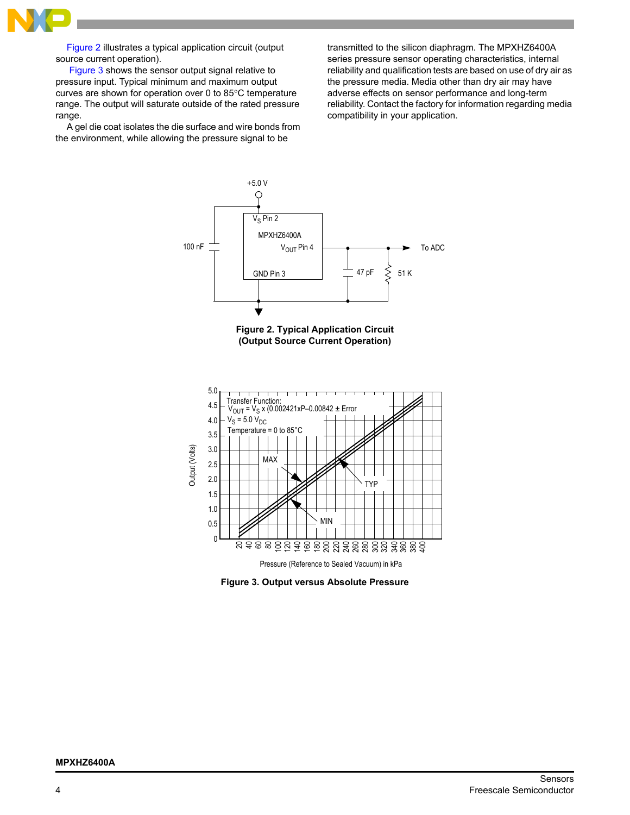

[Figure 2](#page-3-0) illustrates a typical application circuit (output source current operation).

Figure 3 shows the sensor output signal relative to pressure input. Typical minimum and maximum output curves are shown for operation over 0 to 85°C temperature range. The output will saturate outside of the rated pressure range.

A gel die coat isolates the die surface and wire bonds from the environment, while allowing the pressure signal to be

transmitted to the silicon diaphragm. The MPXHZ6400A series pressure sensor operating characteristics, internal reliability and qualification tests are based on use of dry air as the pressure media. Media other than dry air may have adverse effects on sensor performance and long-term reliability. Contact the factory for information regarding media compatibility in your application.



**Figure 2. Typical Application Circuit (Output Source Current Operation)**

<span id="page-3-0"></span>

**Figure 3. Output versus Absolute Pressure**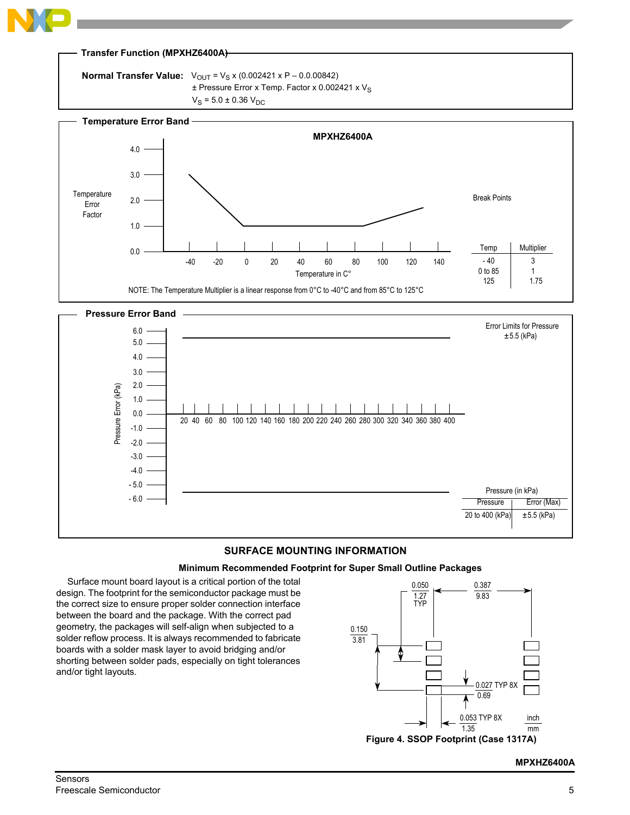

# **SURFACE MOUNTING INFORMATION**

#### **Minimum Recommended Footprint for Super Small Outline Packages**

Surface mount board layout is a critical portion of the total design. The footprint for the semiconductor package must be the correct size to ensure proper solder connection interface between the board and the package. With the correct pad geometry, the packages will self-align when subjected to a solder reflow process. It is always recommended to fabricate boards with a solder mask layer to avoid bridging and/or shorting between solder pads, especially on tight tolerances and/or tight layouts.



## **MPXHZ6400A**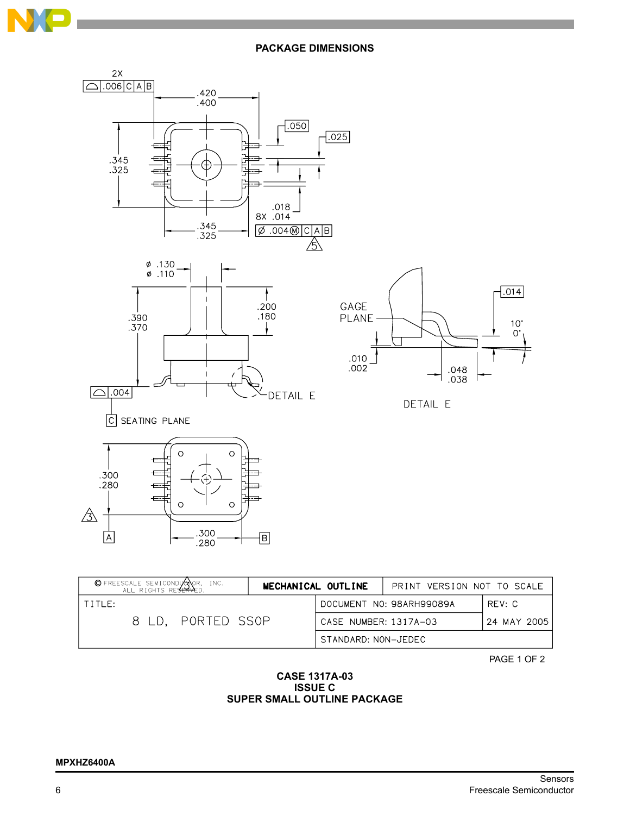

**PACKAGE DIMENSIONS**



| © FREESCALE SEMICONDUCTOR, INC.<br>ALL RIGHTS RESERVED.<br>MECHANICAL OUTLINE |  |                     | PRINT VERSION NOT TO SCALE           |        |  |
|-------------------------------------------------------------------------------|--|---------------------|--------------------------------------|--------|--|
| TITIF:                                                                        |  |                     | DOCUMENT NO: 98ARH99089A             | RFV: C |  |
| 8 LD. PORTED SSOP                                                             |  |                     | CASE NUMBER: 1317A-03<br>24 MAY 2005 |        |  |
|                                                                               |  | STANDARD: NON-JEDEC |                                      |        |  |

PAGE 1 OF 2

## **CASE 1317A-03 ISSUE C SUPER SMALL OUTLINE PACKAGE**

#### **MPXHZ6400A**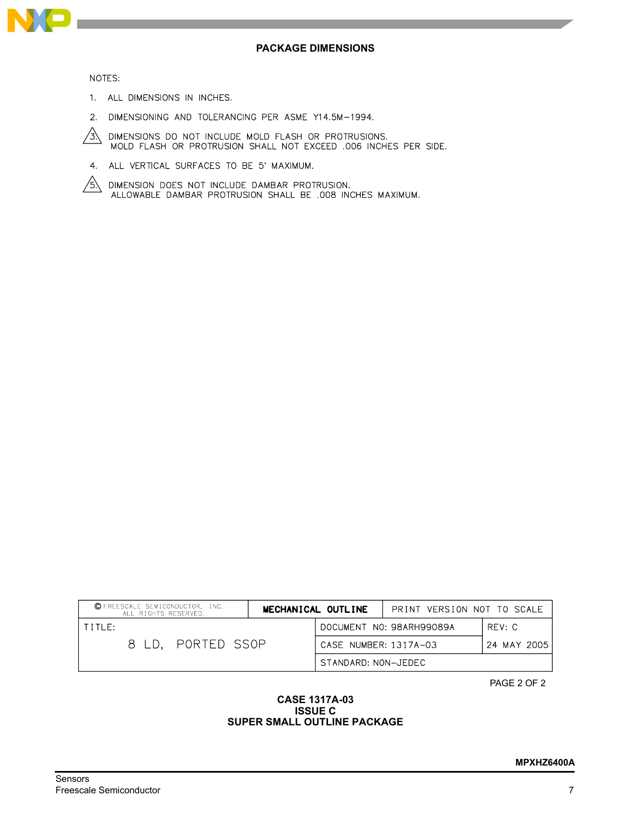

#### NOTES:

- 1. ALL DIMENSIONS IN INCHES.
- 2. DIMENSIONING AND TOLERANCING PER ASME Y14.5M-1994.
- DIMENSIONS DO NOT INCLUDE MOLD FLASH OR PROTRUSIONS.<br>MOLD FLASH OR PROTRUSION SHALL NOT EXCEED .006 INCHES PER SIDE.  $\frac{1}{3}$
- 4. ALL VERTICAL SURFACES TO BE 5' MAXIMUM.
- DIMENSION DOES NOT INCLUDE DAMBAR PROTRUSION.<br>ALLOWABLE DAMBAR PROTRUSION SHALL BE .008 INCHES MAXIMUM.  $/$ 5 $\lambda$

| © FREESCALE SEMICONDUCTOR, INC.<br>ALL RIGHTS RESERVED. | MECHANICAL OUTLINE  | PRINT VERSION NOT TO SCALE |             |
|---------------------------------------------------------|---------------------|----------------------------|-------------|
| TITIF:                                                  |                     | DOCUMENT NO: 98ARH99089A   | RFV: C      |
| 8 LD. PORTED SSOP                                       |                     | CASE NUMBER: 1317A-03      | 24 MAY 2005 |
|                                                         | STANDARD: NON-JEDEC |                            |             |

PAGE 2 OF 2

### **CASE 1317A-03 ISSUE C SUPER SMALL OUTLINE PACKAGE**

#### Sensors Freescale Semiconductor 7